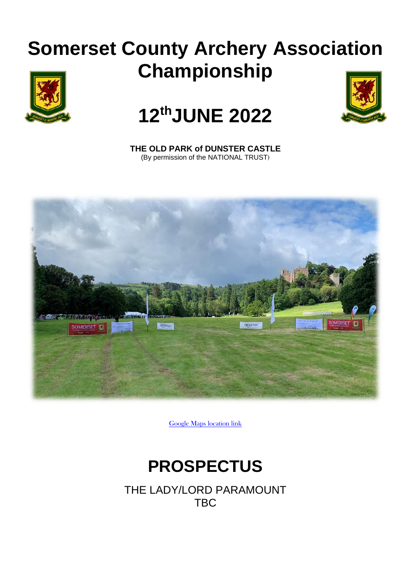# **Somerset County Archery Association Championship**





# **12 thJUNE 2022**

**THE OLD PARK of DUNSTER CASTLE** (By permission of the NATIONAL TRUST)



[Google Maps location link](https://goo.gl/maps/JtJ9vkev9gAF91MVA)

## **PROSPECTUS**

THE LADY/LORD PARAMOUNT TBC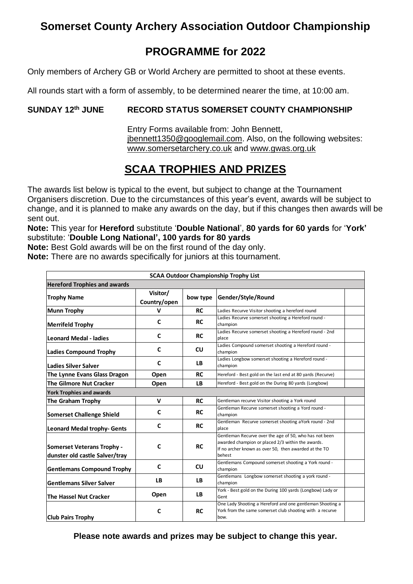## **Somerset County Archery Association Outdoor Championship**

## **PROGRAMME for 2022**

Only members of Archery GB or World Archery are permitted to shoot at these events.

All rounds start with a form of assembly, to be determined nearer the time, at 10:00 am.

#### **SUNDAY 12 RECORD STATUS SOMERSET COUNTY CHAMPIONSHIP**

Entry Forms available from: John Bennett, [jbennett1350@googlemail.com.](mailto:jbennett1350@googlemail.com) Also, on the following websites: [www.somersetarchery.co.uk](http://www.somersetarchery.co.uk/) and [www.gwas.org.uk](http://www.gwas.org.uk/)

## **SCAA TROPHIES AND PRIZES**

The awards list below is typical to the event, but subject to change at the Tournament Organisers discretion. Due to the circumstances of this year's event, awards will be subject to change, and it is planned to make any awards on the day, but if this changes then awards will be sent out.

**Note:** This year for **Hereford** substitute '**Double National**', **80 yards for 60 yards** for '**York'** substitute: '**Double Long National', 100 yards for 80 yards**

**Note:** Best Gold awards will be on the first round of the day only.

**Note:** There are no awards specifically for juniors at this tournament.

| <b>SCAA Outdoor Championship Trophy List</b>                        |                          |           |                                                                                                                                                                                |  |  |
|---------------------------------------------------------------------|--------------------------|-----------|--------------------------------------------------------------------------------------------------------------------------------------------------------------------------------|--|--|
| <b>Hereford Trophies and awards</b>                                 |                          |           |                                                                                                                                                                                |  |  |
| <b>Trophy Name</b>                                                  | Visitor/<br>Country/open | bow type  | Gender/Style/Round                                                                                                                                                             |  |  |
| <b>Munn Trophy</b>                                                  | v                        | <b>RC</b> | Ladies Recurve Visitor shooting a hereford round                                                                                                                               |  |  |
| <b>Merrifeld Trophy</b>                                             | C                        | <b>RC</b> | Ladies Recurve somerset shooting a Hereford round -<br>champion                                                                                                                |  |  |
| <b>Leonard Medal - ladies</b>                                       | C                        | <b>RC</b> | Ladies Recurve somerset shooting a Hereford round - 2nd<br>place                                                                                                               |  |  |
| <b>Ladies Compound Trophy</b>                                       | C                        | CU        | Ladies Compound somerset shooting a Hereford round -<br>champion                                                                                                               |  |  |
| <b>Ladies Silver Salver</b>                                         | C                        | <b>LB</b> | Ladies Longbow somerset shooting a Hereford round -<br>champion                                                                                                                |  |  |
| The Lynne Evans Glass Dragon                                        | Open                     | <b>RC</b> | Hereford - Best gold on the last end at 80 yards (Recurve)                                                                                                                     |  |  |
| <b>The Gilmore Nut Cracker</b>                                      | Open                     | LB        | Hereford - Best gold on the During 80 yards (Longbow)                                                                                                                          |  |  |
| <b>York Trophies and awards</b>                                     |                          |           |                                                                                                                                                                                |  |  |
| <b>The Graham Trophy</b>                                            | $\mathsf{v}$             | <b>RC</b> | Gentleman recurve Visitor shooting a York round                                                                                                                                |  |  |
| <b>Somerset Challenge Shield</b>                                    | C                        | <b>RC</b> | Gentleman Recurve somerset shooting a Yord round -<br>champion                                                                                                                 |  |  |
| <b>Leonard Medal trophy- Gents</b>                                  | C                        | <b>RC</b> | Gentleman Recurve somerset shooting aYork round - 2nd<br>place                                                                                                                 |  |  |
| <b>Somerset Veterans Trophy -</b><br>dunster old castle Salver/tray | C                        | <b>RC</b> | Gentleman Recurve over the age of 50, who has not been<br>awarded champion or placed 2/3 within the awards.<br>If no archer known as over 50, then awarded at the TO<br>behest |  |  |
| <b>Gentlemans Compound Trophy</b>                                   | C                        | <b>CU</b> | Gentlemans Compound somerset shooting a York round -<br>champion                                                                                                               |  |  |
| <b>Gentlemans Silver Salver</b>                                     | <b>LB</b>                | <b>LB</b> | Gentlemans Longbow somerset shooting a york round -<br>champion                                                                                                                |  |  |
| <b>The Hassel Nut Cracker</b>                                       | Open                     | <b>LB</b> | York - Best gold on the During 100 yards (Longbow) Lady or<br>Gent                                                                                                             |  |  |
| <b>Club Pairs Trophy</b>                                            | C                        | <b>RC</b> | One Lady Shooting a Hereford and one gentleman Shooting a<br>York from the same somerset club shooting with a recurve<br>bow.                                                  |  |  |
|                                                                     |                          |           | Please note awards and prizes may be subject to change this year.                                                                                                              |  |  |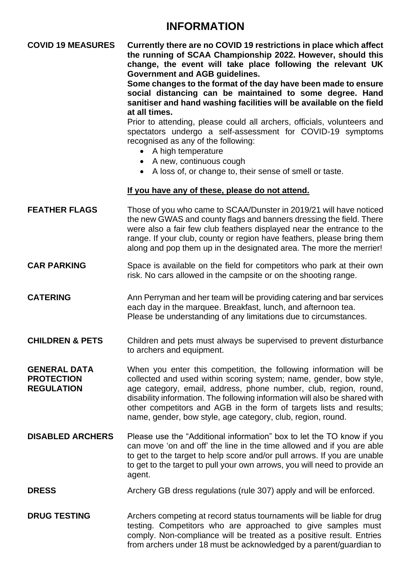## **INFORMATION**

### **COVID 19 MEASURES Currently there are no COVID 19 restrictions in place which affect the running of SCAA Championship 2022. However, should this change, the event will take place following the relevant UK Government and AGB guidelines.**

**Some changes to the format of the day have been made to ensure social distancing can be maintained to some degree. Hand sanitiser and hand washing facilities will be available on the field at all times.**

Prior to attending, please could all archers, officials, volunteers and spectators undergo a self-assessment for COVID-19 symptoms recognised as any of the following:

- A high temperature
- A new, continuous cough
- A loss of, or change to, their sense of smell or taste.

#### **If you have any of these, please do not attend.**

| <b>FEATHER FLAGS</b> | Those of you who came to SCAA/Dunster in 2019/21 will have noticed<br>the new GWAS and county flags and banners dressing the field. There<br>were also a fair few club feathers displayed near the entrance to the<br>range. If your club, county or region have feathers, please bring them |
|----------------------|----------------------------------------------------------------------------------------------------------------------------------------------------------------------------------------------------------------------------------------------------------------------------------------------|
|                      | along and pop them up in the designated area. The more the merrier!                                                                                                                                                                                                                          |
|                      |                                                                                                                                                                                                                                                                                              |

**CAR PARKING** Space is available on the field for competitors who park at their own risk. No cars allowed in the campsite or on the shooting range.

#### **CATERING** Ann Perryman and her team will be providing catering and bar services each day in the marquee. Breakfast, lunch, and afternoon tea. Please be understanding of any limitations due to circumstances.

**CHILDREN & PETS** Children and pets must always be supervised to prevent disturbance to archers and equipment.

**GENERAL DATA** When you enter this competition, the following information will be **PROTECTION** collected and used within scoring system; name, gender, bow style, **REGULATION** age category, email, address, phone number, club, region, round, disability information. The following information will also be shared with other competitors and AGB in the form of targets lists and results; name, gender, bow style, age category, club, region, round.

**DISABLED ARCHERS** Please use the "Additional information" box to let the TO know if you can move 'on and off' the line in the time allowed and if you are able to get to the target to help score and/or pull arrows. If you are unable to get to the target to pull your own arrows, you will need to provide an agent.

#### **DRESS** Archery GB dress regulations (rule 307) apply and will be enforced.

**DRUG TESTING** Archers competing at record status tournaments will be liable for drug testing. Competitors who are approached to give samples must comply. Non-compliance will be treated as a positive result. Entries from archers under 18 must be acknowledged by a parent/guardian to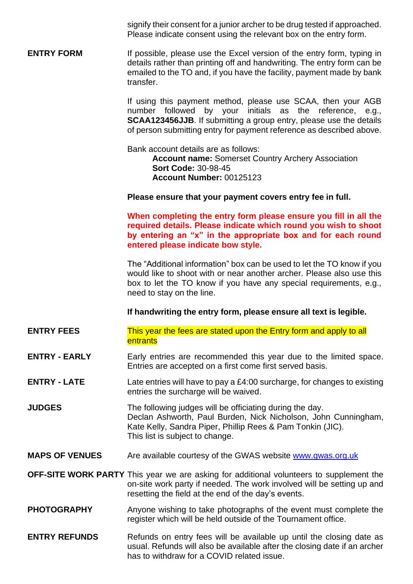signify their consent for a junior archer to be drug tested if approached. Please indicate consent using the relevant box on the entry form.

**ENTRY FORM** If possible, please use the Excel version of the entry form, typing in details rather than printing off and handwriting. The entry form can be emailed to the TO and, if you have the facility, payment made by bank transfer.

> If using this payment method, please use SCAA, then your AGB number followed by your initials as the reference, e.g., **SCAA123456JJB**. If submitting a group entry, please use the details of person submitting entry for payment reference as described above.

Bank account details are as follows:

**Account name:** Somerset Country Archery Association **Sort Code:** 30-98-45 **Account Number:** 00125123

**Please ensure that your payment covers entry fee in full.**

**When completing the entry form please ensure you fill in all the required details. Please indicate which round you wish to shoot by entering an "x" in the appropriate box and for each round entered please indicate bow style.**

The "Additional information" box can be used to let the TO know if you would like to shoot with or near another archer. Please also use this box to let the TO know if you have any special requirements, e.g., need to stay on the line.

**If handwriting the entry form, please ensure all text is legible.**

- **ENTRY FEES** This year the fees are stated upon the Entry form and apply to all entrants
- **ENTRY EARLY** Early entries are recommended this year due to the limited space. Entries are accepted on a first come first served basis.
- **ENTRY - LATE** Late entries will have to pay a £4:00 surcharge, for changes to existing entries the surcharge will be waived.
- **JUDGES** The following judges will be officiating during the day. Declan Ashworth, Paul Burden, Nick Nicholson, John Cunningham, Kate Kelly, Sandra Piper, Phillip Rees & Pam Tonkin (JIC). This list is subject to change.
- **MAPS OF VENUES** Are available courtesy of the GWAS website [www.gwas.org.uk](http://www.gwas.org.uk/)

**OFF-SITE WORK PARTY** This year we are asking for additional volunteers to supplement the on-site work party if needed. The work involved will be setting up and resetting the field at the end of the day's events.

- **PHOTOGRAPHY** Anyone wishing to take photographs of the event must complete the register which will be held outside of the Tournament office.
- **ENTRY REFUNDS** Refunds on entry fees will be available up until the closing date as usual. Refunds will also be available after the closing date if an archer has to withdraw for a COVID related issue.